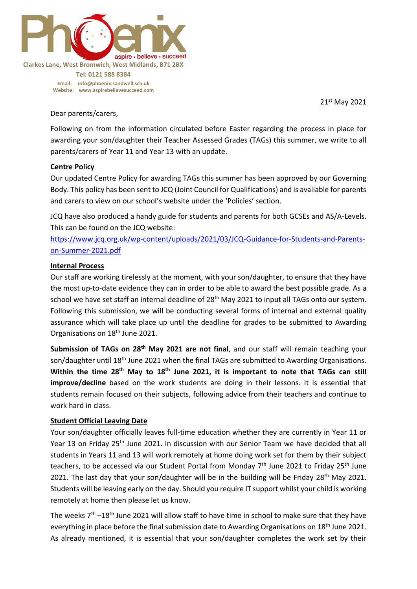

**Tel: 0121 588 8384 Email: [info@phoenix.sandwell.sch.uk](mailto:info@phoenix.sandwell.sch.uk) Website: www.aspirebelievesucceed.com**

21 st May 2021

Dear parents/carers,

Following on from the information circulated before Easter regarding the process in place for awarding your son/daughter their Teacher Assessed Grades (TAGs) this summer, we write to all parents/carers of Year 11 and Year 13 with an update.

#### **Centre Policy**

Our updated Centre Policy for awarding TAGs this summer has been approved by our Governing Body. This policy has been sent to JCQ (Joint Council for Qualifications) and is available for parents and carers to view on our school's website under the 'Policies' section.

JCQ have also produced a handy guide for students and parents for both GCSEs and AS/A-Levels. This can be found on the JCQ website:

[https://www.jcq.org.uk/wp-content/uploads/2021/03/JCQ-Guidance-for-Students-and-Parents](https://www.jcq.org.uk/wp-content/uploads/2021/03/JCQ-Guidance-for-Students-and-Parents-on-Summer-2021.pdf)[on-Summer-2021.pdf](https://www.jcq.org.uk/wp-content/uploads/2021/03/JCQ-Guidance-for-Students-and-Parents-on-Summer-2021.pdf)

### **Internal Process**

Our staff are working tirelessly at the moment, with your son/daughter, to ensure that they have the most up-to-date evidence they can in order to be able to award the best possible grade. As a school we have set staff an internal deadline of 28<sup>th</sup> May 2021 to input all TAGs onto our system. Following this submission, we will be conducting several forms of internal and external quality assurance which will take place up until the deadline for grades to be submitted to Awarding Organisations on 18th June 2021.

**Submission of TAGs on 28th May 2021 are not final**, and our staff will remain teaching your son/daughter until 18<sup>th</sup> June 2021 when the final TAGs are submitted to Awarding Organisations. **Within the time 28th May to 18th June 2021, it is important to note that TAGs can still improve/decline** based on the work students are doing in their lessons. It is essential that students remain focused on their subjects, following advice from their teachers and continue to work hard in class.

#### **Student Official Leaving Date**

Your son/daughter officially leaves full-time education whether they are currently in Year 11 or Year 13 on Friday 25<sup>th</sup> June 2021. In discussion with our Senior Team we have decided that all students in Years 11 and 13 will work remotely at home doing work set for them by their subject teachers, to be accessed via our Student Portal from Monday 7<sup>th</sup> June 2021 to Friday 25<sup>th</sup> June 2021. The last day that your son/daughter will be in the building will be Friday 28<sup>th</sup> May 2021. Students will be leaving early on the day. Should you require IT support whilst your child is working remotely at home then please let us know.

The weeks  $7<sup>th</sup> - 18<sup>th</sup>$  June 2021 will allow staff to have time in school to make sure that they have everything in place before the final submission date to Awarding Organisations on 18<sup>th</sup> June 2021. As already mentioned, it is essential that your son/daughter completes the work set by their